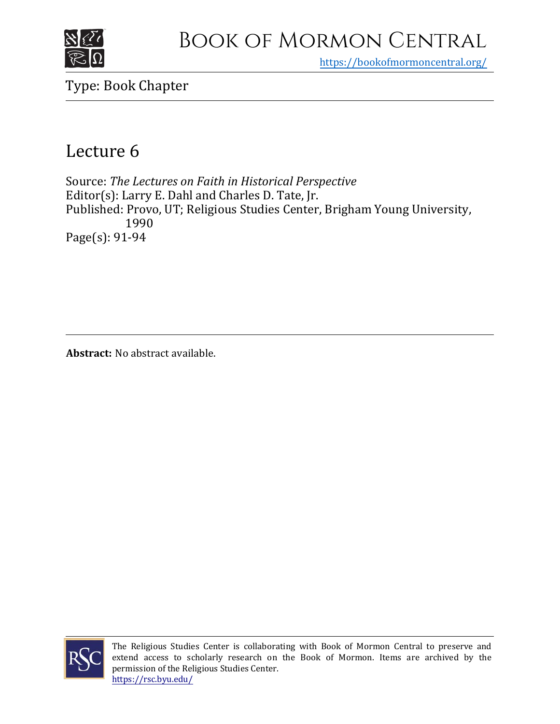

## Book of Mormon Central

https[://bookofmormoncentral.org/](https://bookofmormoncentral.org/)

Type: Book Chapter

## Lecture 6

Source: *The Lectures on Faith in Historical Perspective* Editor(s): Larry E. Dahl and Charles D. Tate, Jr. Published: Provo, UT; Religious Studies Center, Brigham Young University, 1990 Page(s): 91-94

**Abstract:** No abstract available.



The Religious Studies Center is collaborating with Book of Mormon Central to preserve and extend access to scholarly research on the Book of Mormon. Items are archived by the permission of the Religious Studies Center. <https://rsc.byu.edu/>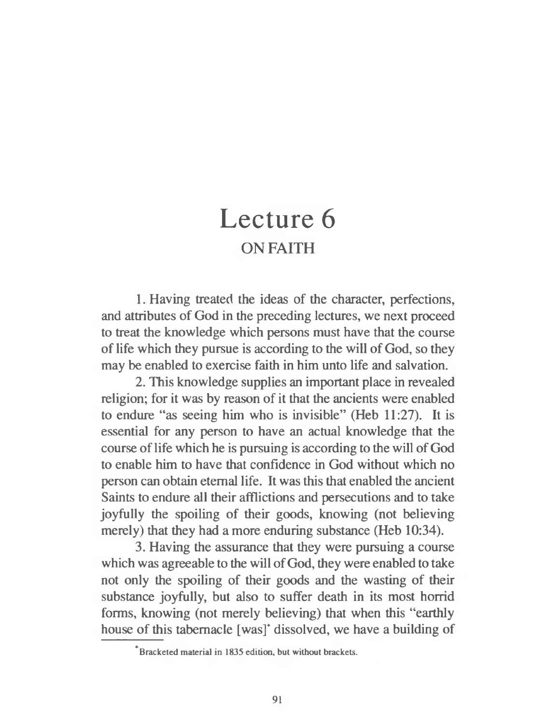## Lecture 6 ON FAITH

1. Having treated the ideas of the character, perfections, and attributes of God in the preceding lectures, we next proceed to treat the knowledge which persons must have that the course of life which they pursue is according to the will of God, so they may be enabled to exercise faith in him unto life and salvation.

2. This knowledge supplies an important place in revealed religion; for it was by reason of it that the ancients were enabled to endure "as seeing him who is invisible" (Heb 11:27). It is essential for any person to have an actual knowledge that the course of life which he is pursuing is according to the will of God to enable him to have that confidence in God without which no person can obtain eternal life. It was this that enabled the ancient Saints to endure all their afflictions and persecutions and to take joyfully the spoiling of their goods, knowing (not believing merely) that they had a more enduring substance (Heb 10:34).

3. Having the assurance that they were pursuing a course which was agreeable to the will of God, they were enabled to take not only the spoiling of their goods and the wasting of their substance joyfully, but also to suffer death in its most horrid forms, knowing (not merely believing) that when this "earthly house of this tabernacle [was]' dissolved, we have a building of

<sup>\*</sup> Bracketed material in 1835 edition, but without brackets.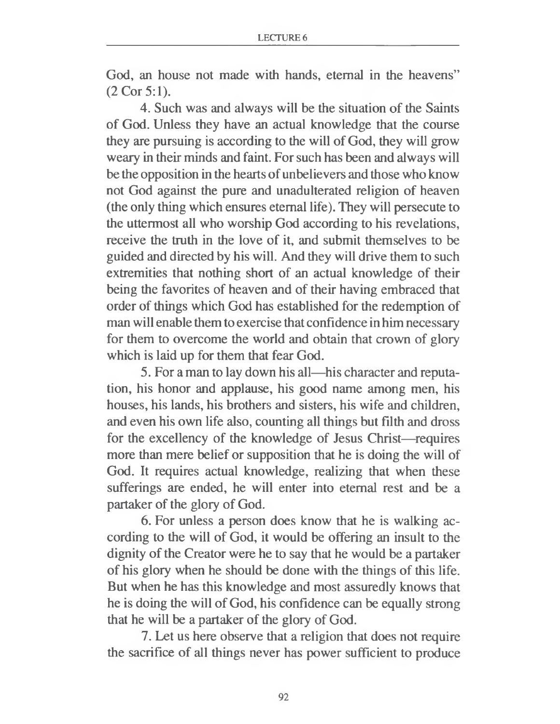God, an house not made with hands, eternal in the heavens" (2 Cor 5:1).

4. Such was and always will be the situation of the Saints of God. Unless they have an actual knowledge that the course they are pursuing is according to the will of God, they will grow weary in their minds and faint. For such has been and always will be the opposition in the hearts of unbelievers and those who know not God against the pure and unadulterated religion of heaven (the only thing which ensures eternal life). They will persecute to the uttermost all who worship God according to his revelations, receive the truth in the love of it, and submit themselves to be guided and directed by his will. And they will drive them to such extremities that nothing short of an actual knowledge of their being the favorites of heaven and of their having embraced that order of things which God has established for the redemption of man will enable them to exercise that confidence in him necessary for them to overcome the world and obtain that crown of glory which is laid up for them that fear God.

5. For a man to lay down his all—his character and reputation, his honor and applause, his good name among men, his houses, his lands, his brothers and sisters, his wife and children, and even his own life also, counting all things but filth and dross for the excellency of the knowledge of Jesus Christ—requires more than mere belief or supposition that he is doing the will of God. It requires actual knowledge, realizing that when these sufferings are ended, he will enter into eternal rest and be a partaker of the glory of God.

6. For unless a person does know that he is walking according to the will of God, it would be offering an insult to the dignity of the Creator were he to say that he would be a partaker of his glory when he should be done with the things of this life. But when he has this knowledge and most assuredly knows that he is doing the will of God, his confidence can be equally strong that he will be a partaker of the glory of God.

7. Let us here observe that a religion that does not require the sacrifice of all things never has power sufficient to produce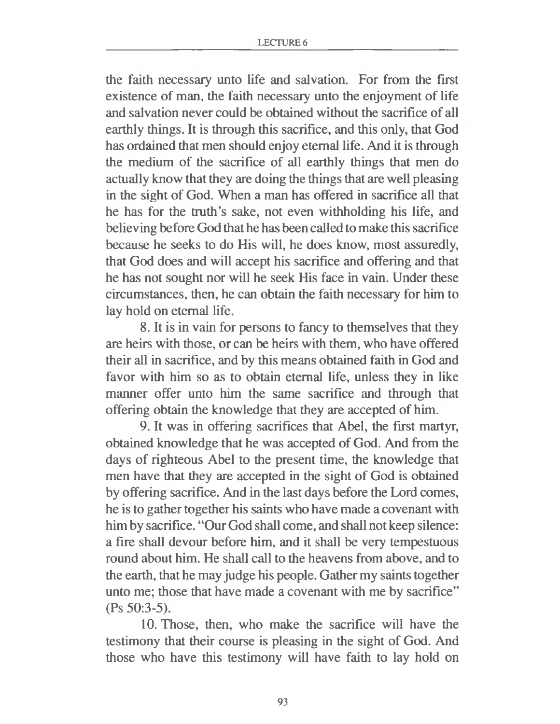the faith necessary unto life and salvation. For from the first existence of man, the faith necessary unto the enjoyment of life and salvation never could be obtained without the sacrifice of all earthly things. It is through this sacrifice, and this only, that God has ordained that men should enjoy eternal life. And it is through the medium of the sacrifice of all earthly things that men do actually know that they are doing the things that are well pleasing in the sight of God. When a man has offered in sacrifice all that he has for the truth's sake, not even withholding his life, and believing before God that he has been called to make this sacrifice because he seeks to do His will, he does know, most assuredly, that God does and will accept his sacrifice and offering and that he has not sought nor will he seek His face in vain. Under these circumstances, then, he can obtain the faith necessary for him to lay hold on eternal life.

8. It is in vain for persons to fancy to themselves that they are heirs with those, or can be heirs with them, who have offered their all in sacrifice, and by this means obtained faith in God and favor with him so as to obtain eternal life, unless they in like manner offer unto him the same sacrifice and through that offering obtain the knowledge that they are accepted of him.

9. It was in offering sacrifices that Abel, the first martyr, obtained knowledge that he was accepted of God. And from the days of righteous Abel to the present time, the knowledge that men have that they are accepted in the sight of God is obtained by offering sacrifice. And in the last days before the Lord comes, he is to gather together his saints who have made a covenant with him by sacrifice. "Our God shall come, and shall not keep silence: a fire shall devour before him, and it shall be very tempestuous round about him. He shall call to the heavens from above, and to the earth, that he may judge his people. Gather my saints together unto me; those that have made a covenant with me by sacrifice" (Ps 50:3-5).

10. Those, then, who make the sacrifice will have the testimony that their course is pleasing in the sight of God. And those who have this testimony will have faith to lay hold on